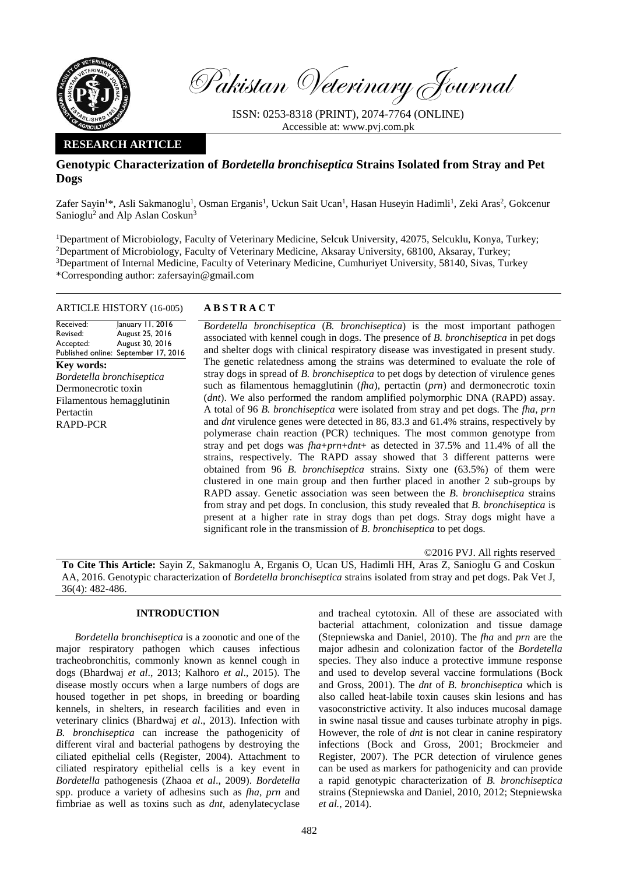

Pakistan Veterinary Journal

ISSN: 0253-8318 (PRINT), 2074-7764 (ONLINE) Accessible at: [www.pvj.com.pk](http://www.pvj.com.pk/)

## **RESEARCH ARTICLE**

# **Genotypic Characterization of** *Bordetella bronchiseptica* **Strains Isolated from Stray and Pet Dogs**

Zafer Sayin<sup>1\*</sup>, Asli Sakmanoglu<sup>1</sup>, Osman Erganis<sup>1</sup>, Uckun Sait Ucan<sup>1</sup>, Hasan Huseyin Hadimli<sup>1</sup>, Zeki Aras<sup>2</sup>, Gokcenur Sanioglu<sup>2</sup> and Alp Aslan Coskun<sup>3</sup>

<sup>1</sup>Department of Microbiology, Faculty of Veterinary Medicine, Selcuk University, 42075, Selcuklu, Konya, Turkey; <sup>2</sup>Department of Microbiology, Faculty of Veterinary Medicine, Aksaray University, 68100, Aksaray, Turkey; <sup>3</sup>Department of Internal Medicine, Faculty of Veterinary Medicine, Cumhuriyet University, 58140, Sivas, Turkey \*Corresponding author: zafersayin@gmail.com

## ARTICLE HISTORY (16-005) **A B S T R A C T**

#### Received: Revised: Accepted: Published online: September 17, 2016 January 11, 2016 August 25, 2016 August 30, 2016 **Key words:**  *Bordetella bronchiseptica* Dermonecrotic toxin Filamentous hemagglutinin Pertactin RAPD-PCR

*Bordetella bronchiseptica* (*B. bronchiseptica*) is the most important pathogen associated with kennel cough in dogs. The presence of *B. bronchiseptica* in pet dogs and shelter dogs with clinical respiratory disease was investigated in present study. The genetic relatedness among the strains was determined to evaluate the role of stray dogs in spread of *B. bronchiseptica* to pet dogs by detection of virulence genes such as filamentous hemagglutinin (*fha*), pertactin (*prn*) and dermonecrotic toxin (*dnt*). We also performed the random amplified polymorphic DNA (RAPD) assay. A total of 96 *B. bronchiseptica* were isolated from stray and pet dogs. The *fha, prn*  and *dnt* virulence genes were detected in 86, 83.3 and 61.4% strains, respectively by polymerase chain reaction (PCR) techniques. The most common genotype from stray and pet dogs was *fha*+*prn*+*dnt*+ as detected in 37.5% and 11.4% of all the strains, respectively. The RAPD assay showed that 3 different patterns were obtained from 96 *B. bronchiseptica* strains. Sixty one (63.5%) of them were clustered in one main group and then further placed in another 2 sub-groups by RAPD assay. Genetic association was seen between the *B. bronchiseptica* strains from stray and pet dogs. In conclusion, this study revealed that *B. bronchiseptica* is present at a higher rate in stray dogs than pet dogs. Stray dogs might have a significant role in the transmission of *B. bronchiseptica* to pet dogs.

©2016 PVJ. All rights reserved

**To Cite This Article:** Sayin Z, Sakmanoglu A, Erganis O, Ucan US, Hadimli HH, Aras Z, Sanioglu G and Coskun AA, 2016. Genotypic characterization of *Bordetella bronchiseptica* strains isolated from stray and pet dogs. Pak Vet J, 36(4): 482-486.

## **INTRODUCTION**

*Bordetella bronchiseptica* is a zoonotic and one of the major respiratory pathogen which causes infectious tracheobronchitis, commonly known as kennel cough in dogs (Bhardwaj *et al*., 2013; Kalhoro *et al*., 2015). The disease mostly occurs when a large numbers of dogs are housed together in pet shops, in breeding or boarding kennels, in shelters, in research facilities and even in veterinary clinics (Bhardwaj *et al*., 2013). Infection with *B. bronchiseptica* can increase the pathogenicity of different viral and bacterial pathogens by destroying the ciliated epithelial cells (Register, 2004). Attachment to ciliated respiratory epithelial cells is a key event in *Bordetella* pathogenesis (Zhaoa *et al*., 2009). *Bordetella* spp. produce a variety of adhesins such as *fha*, *prn* and fimbriae as well as toxins such as *dnt*, adenylatecyclase and tracheal cytotoxin. All of these are associated with bacterial attachment, colonization and tissue damage (Stepniewska and Daniel, 2010). The *fha* and *prn* are the major adhesin and colonization factor of the *Bordetella*  species. They also induce a protective immune response and used to develop several vaccine formulations (Bock and Gross, 2001). The *dnt* of *B. bronchiseptica* which is also called heat-labile toxin causes skin lesions and has vasoconstrictive activity. It also induces mucosal damage in swine nasal tissue and causes turbinate atrophy in pigs. However, the role of *dnt* is not clear in canine respiratory infections (Bock and Gross, 2001; Brockmeier and Register, 2007). The PCR detection of virulence genes can be used as markers for pathogenicity and can provide a rapid genotypic characterization of *B. bronchiseptica*  strains (Stepniewska and Daniel, 2010, 2012; Stepniewska *et al.*, 2014).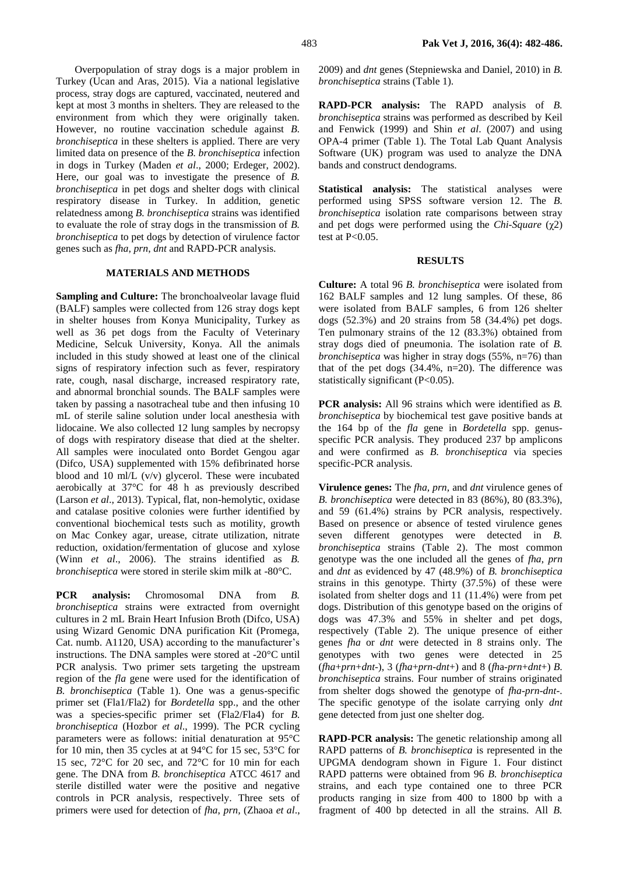Overpopulation of stray dogs is a major problem in Turkey (Ucan and Aras, 2015). Via a national legislative process, stray dogs are captured, vaccinated, neutered and kept at most 3 months in shelters. They are released to the environment from which they were originally taken. However, no routine vaccination schedule against *B. bronchiseptica* in these shelters is applied. There are very limited data on presence of the *B. bronchiseptica* infection in dogs in Turkey (Maden *et al*., 2000; Erdeger, 2002). Here, our goal was to investigate the presence of *B. bronchiseptica* in pet dogs and shelter dogs with clinical respiratory disease in Turkey. In addition, genetic relatedness among *B. bronchiseptica* strains was identified to evaluate the role of stray dogs in the transmission of *B. bronchiseptica* to pet dogs by detection of virulence factor genes such as *fha*, *prn*, *dnt* and RAPD-PCR analysis.

## **MATERIALS AND METHODS**

**Sampling and Culture:** The bronchoalveolar lavage fluid (BALF) samples were collected from 126 stray dogs kept in shelter houses from Konya Municipality, Turkey as well as 36 pet dogs from the Faculty of Veterinary Medicine, Selcuk University, Konya. All the animals included in this study showed at least one of the clinical signs of respiratory infection such as fever, respiratory rate, cough, nasal discharge, increased respiratory rate, and abnormal bronchial sounds. The BALF samples were taken by passing a nasotracheal tube and then infusing 10 mL of sterile saline solution under local anesthesia with lidocaine. We also collected 12 lung samples by necropsy of dogs with respiratory disease that died at the shelter. All samples were inoculated onto Bordet Gengou agar (Difco, USA) supplemented with 15% defibrinated horse blood and 10 ml/L (v/v) glycerol. These were incubated aerobically at 37°C for 48 h as previously described (Larson *et al*., 2013). Typical, flat, non-hemolytic, oxidase and catalase positive colonies were further identified by conventional biochemical tests such as motility, growth on Mac Conkey agar, urease, citrate utilization, nitrate reduction, oxidation/fermentation of glucose and xylose (Winn *et al*., 2006). The strains identified as *B. bronchiseptica* were stored in sterile skim milk at -80°C.

**PCR analysis:** Chromosomal DNA from *B. bronchiseptica* strains were extracted from overnight cultures in 2 mL Brain Heart Infusion Broth (Difco, USA) using Wizard Genomic DNA purification Kit (Promega, Cat. numb. A1120, USA) according to the manufacturer's instructions. The DNA samples were stored at -20°C until PCR analysis. Two primer sets targeting the upstream region of the *fla* gene were used for the identification of *B. bronchiseptica* (Table 1)*.* One was a genus-specific primer set (Fla1/Fla2) for *Bordetella* spp., and the other was a species-specific primer set (Fla2/Fla4) for *B. bronchiseptica* (Hozbor *et al*., 1999). The PCR cycling parameters were as follows: initial denaturation at 95°C for 10 min, then 35 cycles at at 94°C for 15 sec, 53°C for 15 sec, 72°C for 20 sec, and 72°C for 10 min for each gene. The DNA from *B. bronchiseptica* ATCC 4617 and sterile distilled water were the positive and negative controls in PCR analysis, respectively. Three sets of primers were used for detection of *fha*, *prn,* (Zhaoa *et al*.,

2009) and *dnt* genes (Stepniewska and Daniel, 2010) in *B. bronchiseptica* strains (Table 1).

**RAPD-PCR analysis:** The RAPD analysis of *B. bronchiseptica* strains was performed as described by Keil and Fenwick (1999) and Shin *et al*. (2007) and using OPA-4 primer (Table 1). The Total Lab Quant Analysis Software (UK) program was used to analyze the DNA bands and construct dendograms.

**Statistical analysis:** The statistical analyses were performed using SPSS software version 12. The *B. bronchiseptica* isolation rate comparisons between stray and pet dogs were performed using the *Chi-Square* (χ2) test at  $P < 0.05$ .

#### **RESULTS**

**Culture:** A total 96 *B. bronchiseptica* were isolated from 162 BALF samples and 12 lung samples. Of these, 86 were isolated from BALF samples, 6 from 126 shelter dogs (52.3%) and 20 strains from 58 (34.4%) pet dogs. Ten pulmonary strains of the 12 (83.3%) obtained from stray dogs died of pneumonia. The isolation rate of *B. bronchiseptica* was higher in stray dogs (55%, n=76) than that of the pet dogs (34.4%, n=20). The difference was statistically significant (P<0.05).

**PCR analysis:** All 96 strains which were identified as *B. bronchiseptica* by biochemical test gave positive bands at the 164 bp of the *fla* gene in *Bordetella* spp. genusspecific PCR analysis. They produced 237 bp amplicons and were confirmed as *B. bronchiseptica* via species specific-PCR analysis.

**Virulence genes:** The *fha, prn,* and *dnt* virulence genes of *B. bronchiseptica* were detected in 83 (86%), 80 (83.3%), and 59 (61.4%) strains by PCR analysis, respectively. Based on presence or absence of tested virulence genes seven different genotypes were detected in *B. bronchiseptica* strains (Table 2). The most common genotype was the one included all the genes of *fha*, *prn* and *dnt* as evidenced by 47 (48.9%) of *B. bronchiseptica* strains in this genotype. Thirty (37.5%) of these were isolated from shelter dogs and 11 (11.4%) were from pet dogs. Distribution of this genotype based on the origins of dogs was 47.3% and 55% in shelter and pet dogs, respectively (Table 2). The unique presence of either genes *fha* or *dnt* were detected in 8 strains only. The genotypes with two genes were detected in 25 (*fha*+*prn*+*dnt*-), 3 (*fha*+*prn*-*dnt*+) and 8 (*fh*a-*prn*+*dnt*+) *B. bronchiseptica* strains. Four number of strains originated from shelter dogs showed the genotype of *fha*-*prn*-*dnt*-. The specific genotype of the isolate carrying only *dnt* gene detected from just one shelter dog.

**RAPD-PCR analysis:** The genetic relationship among all RAPD patterns of *B. bronchiseptica* is represented in the UPGMA dendogram shown in Figure 1. Four distinct RAPD patterns were obtained from 96 *B. bronchiseptica* strains, and each type contained one to three PCR products ranging in size from 400 to 1800 bp with a fragment of 400 bp detected in all the strains. All *B.*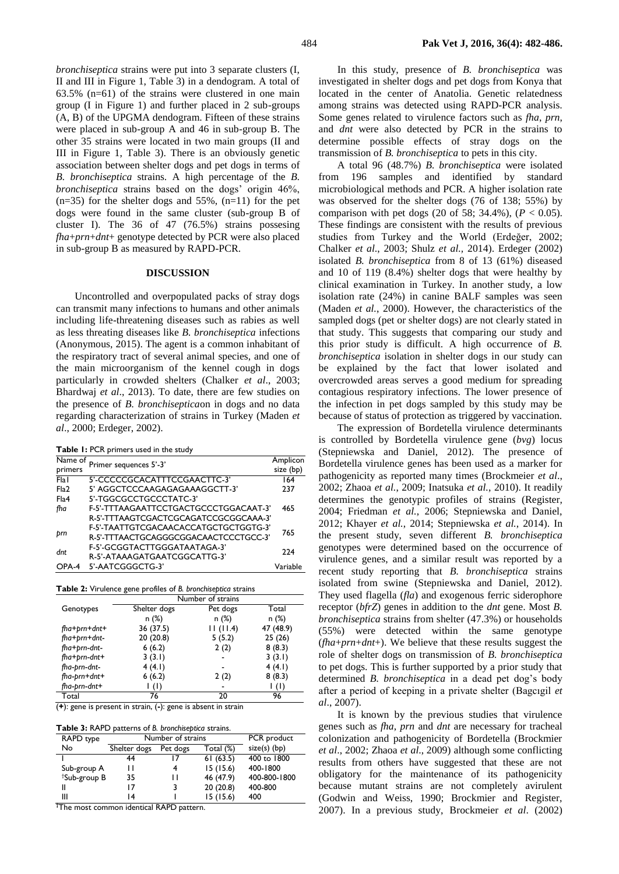*bronchiseptica* strains were put into 3 separate clusters (I, II and III in Figure 1, Table 3) in a dendogram. A total of 63.5%  $(n=61)$  of the strains were clustered in one main group (I in Figure 1) and further placed in 2 sub-groups (A, B) of the UPGMA dendogram. Fifteen of these strains were placed in sub-group A and 46 in sub-group B. The other 35 strains were located in two main groups (II and III in Figure 1, Table 3). There is an obviously genetic association between shelter dogs and pet dogs in terms of *B. bronchiseptica* strains. A high percentage of the *B. bronchiseptica* strains based on the dogs' origin 46%,  $(n=35)$  for the shelter dogs and 55%,  $(n=11)$  for the pet dogs were found in the same cluster (sub-group B of cluster I). The 36 of 47 (76.5%) strains possesing *fha*+*prn*+*dnt*+ genotype detected by PCR were also placed in sub-group B as measured by RAPD-PCR.

### **DISCUSSION**

Uncontrolled and overpopulated packs of stray dogs can transmit many infections to humans and other animals including life-threatening diseases such as rabies as well as less threating diseases like *B. bronchiseptica* infections (Anonymous, 2015). The agent is a common inhabitant of the respiratory tract of several animal species, and one of the main microorganism of the kennel cough in dogs particularly in crowded shelters (Chalker *et al*., 2003; Bhardwaj *et al*., 2013). To date, there are few studies on the presence of *B. bronchiseptica*on in dogs and no data regarding characterization of strains in Turkey (Maden *et al*., 2000; Erdeger, 2002).

**Table 1:** PCR primers used in the study

| Name of | Primer sequences 5'-3'                | Amplicon  |  |
|---------|---------------------------------------|-----------|--|
| primers |                                       | size (bp) |  |
| Fla I   | 5'-CCCCCGCACATTTCCGAACTTC-3'          | 164       |  |
| Fla2    | 5' AGGCTCCCAAGAGAGAAAGGCTT-3'         | 237       |  |
| Fla4    | 5'-TGGCGCCTGCCCTATC-3'                |           |  |
| fha     | F-5'-TTTAAGAATTCCTGACTGCCCTGGACAAT-3' | 465       |  |
|         | R-5'-TTTAAGTCGACTCGCAGATCCGCGGCAAA-3' |           |  |
|         | F-5'-TAATTGTCGACAACACCATGCTGCTGGTG-3' | 765       |  |
| þrn     | R-5'-TTTAACTGCAGGGCGGACAACTCCCTGCC-3' |           |  |
| dnt     | F-5'-GCGGTACTTGGGATAATAGA-3'          | 224       |  |
|         | R-5'-ATAAAGATGAATCGGCATTG-3'          |           |  |
| $OPA-4$ | 5'-AATCGGGCTG-3'                      | Variable  |  |

|  |  |  |  |  | Table 2: Virulence gene profiles of B. bronchiseptica strains |
|--|--|--|--|--|---------------------------------------------------------------|
|--|--|--|--|--|---------------------------------------------------------------|

|                | Number of strains |                          |           |  |  |
|----------------|-------------------|--------------------------|-----------|--|--|
| Genotypes      | Shelter dogs      | Pet dogs                 | Total     |  |  |
|                | n(%)              | n(%)                     | n (%)     |  |  |
| $fha+prn+dnt+$ | 36 (37.5)         | 11(11.4)                 | 47 (48.9) |  |  |
| fha+prn+dnt-   | 20(20.8)          | 5(5.2)                   | 25(26)    |  |  |
| fha+prn-dnt-   | 6(6.2)            | 2(2)                     | 8(8.3)    |  |  |
| fha+prn-dnt+   | 3(3.1)            | $\overline{\phantom{a}}$ | 3(3.1)    |  |  |
| fha-prn-dnt-   | 4(4.1)            |                          | 4(4.1)    |  |  |
| fha-prn+dnt+   | 6(6.2)            | 2(2)                     | 8(8.3)    |  |  |
| fha-prn-dnt+   | (1)               |                          | (1)       |  |  |
| Total          | 76                | 20                       | 96        |  |  |

(**+**): gene is present in strain, (**-**): gene is absent in strain

**Table 3:** RAPD patterns of *B. bronchiseptica* strains.

| RAPD type                | Number of strains | PCR product |           |                |
|--------------------------|-------------------|-------------|-----------|----------------|
| No                       | Shelter dogs      | Pet dogs    | Total (%) | $size(s)$ (bp) |
|                          | 44                |             | 61(63.5)  | 400 to 1800    |
| Sub-group A              | ш                 | 4           | 15(15.6)  | 400-1800       |
| <sup>†</sup> Sub-group B | 35                | н           | 46 (47.9) | 400-800-1800   |
| Ш                        | 17                | 3           | 20(20.8)  | 400-800        |
| Ш                        | 14                |             | 15(15.6)  | 400            |

**†**The most common identical RAPD pattern.

In this study, presence of *B. bronchiseptica* was investigated in shelter dogs and pet dogs from Konya that located in the center of Anatolia. Genetic relatedness among strains was detected using RAPD-PCR analysis. Some genes related to virulence factors such as *fha*, *prn*, and *dnt* were also detected by PCR in the strains to determine possible effects of stray dogs on the transmission of *B. bronchiseptica* to pets in this city.

A total 96 (48.7%) *B. bronchiseptica* were isolated from 196 samples and identified by standard microbiological methods and PCR. A higher isolation rate was observed for the shelter dogs (76 of 138; 55%) by comparison with pet dogs (20 of 58; 34.4%),  $(P < 0.05)$ . These findings are consistent with the results of previous studies from Turkey and the World (Erdeğer, 2002; Chalker *et al*., 2003; Shulz *et al.,* 2014). Erdeger (2002) isolated *B. bronchiseptica* from 8 of 13 (61%) diseased and 10 of 119 (8.4%) shelter dogs that were healthy by clinical examination in Turkey. In another study, a low isolation rate (24%) in canine BALF samples was seen (Maden *et al.*, 2000). However, the characteristics of the sampled dogs (pet or shelter dogs) are not clearly stated in that study. This suggests that comparing our study and this prior study is difficult. A high occurrence of *B. bronchiseptica* isolation in shelter dogs in our study can be explained by the fact that lower isolated and overcrowded areas serves a good medium for spreading contagious respiratory infections. The lower presence of the infection in pet dogs sampled by this study may be because of status of protection as triggered by vaccination.

The expression of Bordetella virulence determinants is controlled by Bordetella virulence gene (*bvg*) locus (Stepniewska and Daniel, 2012). The presence of Bordetella virulence genes has been used as a marker for pathogenicity as reported many times (Brockmeier *et al*., 2002; Zhaoa *et al.*, 2009; Inatsuka *et al.*, 2010). It readily determines the genotypic profiles of strains (Register, 2004; Friedman *et al.*, 2006; Stepniewska and Daniel, 2012; Khayer *et al.*, 2014; Stepniewska *et al.*, 2014). In the present study, seven different *B. bronchiseptica* genotypes were determined based on the occurrence of virulence genes, and a similar result was reported by a recent study reporting that *B. bronchiseptica* strains isolated from swine (Stepniewska and Daniel, 2012). They used flagella (*fla*) and exogenous ferric siderophore receptor (*bfrZ*) genes in addition to the *dnt* gene. Most *B. bronchiseptica* strains from shelter (47.3%) or households (55%) were detected within the same genotype (*fha*+*prn*+*dnt*+). We believe that these results suggest the role of shelter dogs on transmission of *B. bronchiseptica* to pet dogs. This is further supported by a prior study that determined *B. bronchiseptica* in a dead pet dog's body after a period of keeping in a private shelter (Bagcıgil *et al*., 2007).

It is known by the previous studies that virulence genes such as *fha*, *prn* and *dnt* are necessary for tracheal colonization and pathogenicity of Bordetella (Brockmier *et al*., 2002; Zhaoa *et al*., 2009) although some conflicting results from others have suggested that these are not obligatory for the maintenance of its pathogenicity because mutant strains are not completely avirulent (Godwin and Weiss, 1990; Brockmier and Register, 2007). In a previous study, Brockmeier *et al*. (2002)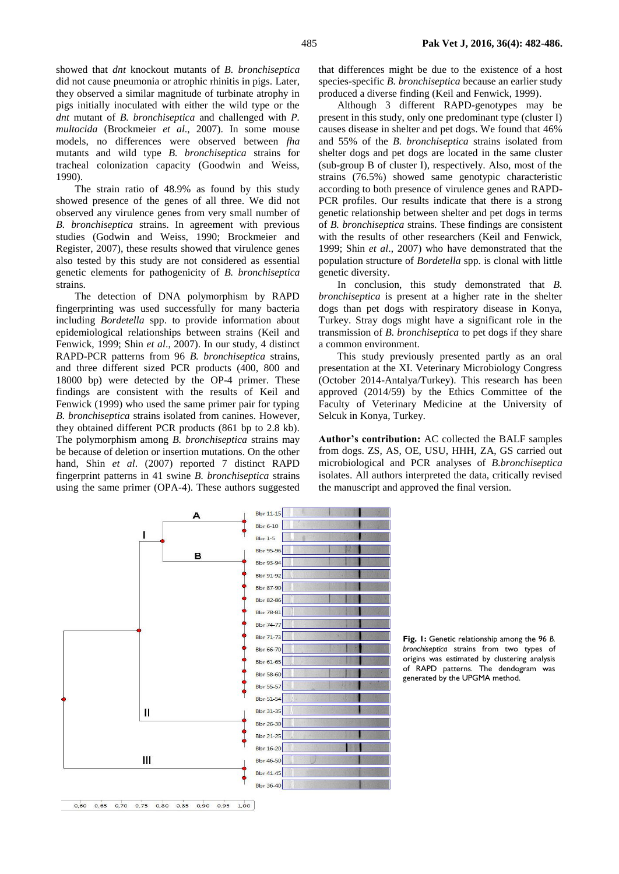showed that *dnt* knockout mutants of *B. bronchiseptica* did not cause pneumonia or atrophic rhinitis in pigs. Later, they observed a similar magnitude of turbinate atrophy in pigs initially inoculated with either the wild type or the *dnt* mutant of *B. bronchiseptica* and challenged with *P. multocida* (Brockmeier *et al*., 2007). In some mouse models, no differences were observed between *fha* mutants and wild type *B. bronchiseptica* strains for tracheal colonization capacity (Goodwin and Weiss, 1990).

The strain ratio of 48.9% as found by this study showed presence of the genes of all three. We did not observed any virulence genes from very small number of *B. bronchiseptica* strains. In agreement with previous studies (Godwin and Weiss, 1990; Brockmeier and Register, 2007), these results showed that virulence genes also tested by this study are not considered as essential genetic elements for pathogenicity of *B. bronchiseptica* strains.

The detection of DNA polymorphism by RAPD fingerprinting was used successfully for many bacteria including *Bordetella* spp. to provide information about epidemiological relationships between strains (Keil and Fenwick, 1999; Shin *et al*., 2007). In our study, 4 distinct RAPD-PCR patterns from 96 *B. bronchiseptica* strains, and three different sized PCR products (400, 800 and 18000 bp) were detected by the OP-4 primer. These findings are consistent with the results of Keil and Fenwick (1999) who used the same primer pair for typing *B. bronchiseptica* strains isolated from canines. However, they obtained different PCR products (861 bp to 2.8 kb). The polymorphism among *B. bronchiseptica* strains may be because of deletion or insertion mutations. On the other hand, Shin *et al*. (2007) reported 7 distinct RAPD fingerprint patterns in 41 swine *B. bronchiseptica* strains using the same primer (OPA-4). These authors suggested

that differences might be due to the existence of a host species-specific *B. bronchiseptica* because an earlier study produced a diverse finding (Keil and Fenwick, 1999).

Although 3 different RAPD-genotypes may be present in this study, only one predominant type (cluster I) causes disease in shelter and pet dogs. We found that 46% and 55% of the *B. bronchiseptica* strains isolated from shelter dogs and pet dogs are located in the same cluster (sub-group B of cluster I), respectively. Also, most of the strains (76.5%) showed same genotypic characteristic according to both presence of virulence genes and RAPD-PCR profiles. Our results indicate that there is a strong genetic relationship between shelter and pet dogs in terms of *B. bronchiseptica* strains. These findings are consistent with the results of other researchers (Keil and Fenwick, 1999; Shin *et al*., 2007) who have demonstrated that the population structure of *Bordetella* spp. is clonal with little genetic diversity.

In conclusion, this study demonstrated that *B. bronchiseptica* is present at a higher rate in the shelter dogs than pet dogs with respiratory disease in Konya, Turkey. Stray dogs might have a significant role in the transmission of *B. bronchiseptica* to pet dogs if they share a common environment.

This study previously presented partly as an oral presentation at the XI. Veterinary Microbiology Congress (October 2014-Antalya/Turkey). This research has been approved (2014/59) by the Ethics Committee of the Faculty of Veterinary Medicine at the University of Selcuk in Konya, Turkey.

**Author's contribution:** AC collected the BALF samples from dogs. ZS, AS, OE, USU, HHH, ZA, GS carried out microbiological and PCR analyses of *B.bronchiseptica*  isolates. All authors interpreted the data, critically revised the manuscript and approved the final version.



**Fig. 1:** Genetic relationship among the 96 *B. bronchiseptica* strains from two types of origins was estimated by clustering analysis of RAPD patterns. The dendogram was generated by the UPGMA method.